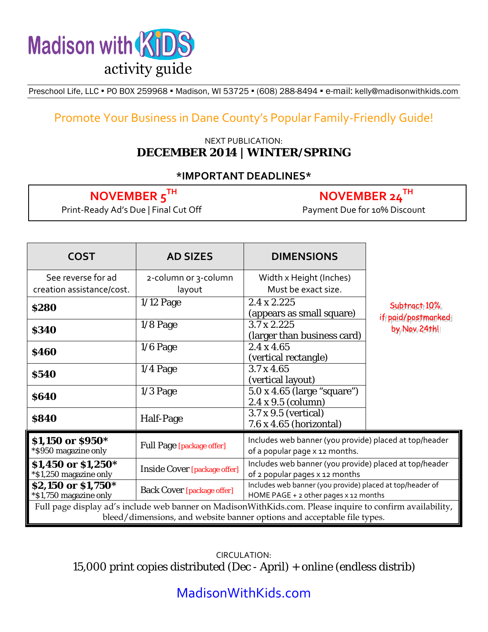

Preschool Life, LLC · PO BOX 259968 · Madison, WI 53725 · (608) 288-8494 · e-mail: kelly@madisonwithkids.com

# Promote Your Business in Dane County's Popular Family-Friendly Guide!

## NEXT PUBLICATION: **DECEMBER 2014 | WINTER/SPRING**

## **\*IMPORTANT DEADLINES\*** I

**NOVEMBER 5<sup>TH</sup> NOVEMBER 24<sup>TH</sup>** 

Print-Ready Ad's Due | Final Cut Off Payment Due for 10% Discount

| <b>COST</b>                                                                                                                                                                          | <b>AD SIZES</b>                     | <b>DIMENSIONS</b>                                                                                  |                                                    |
|--------------------------------------------------------------------------------------------------------------------------------------------------------------------------------------|-------------------------------------|----------------------------------------------------------------------------------------------------|----------------------------------------------------|
| See reverse for ad<br>creation assistance/cost.                                                                                                                                      | 2-column or 3-column<br>layout      | Width x Height (Inches)<br>Must be exact size.                                                     | Subtract 10%<br>if paid/postmanked<br>by Nov 24th! |
| \$280                                                                                                                                                                                | $1/12$ Page                         | $2.4 \times 2.225$<br>(appears as small square)                                                    |                                                    |
| \$340                                                                                                                                                                                | $1/8$ Page                          | $3.7 \times 2.225$<br>(larger than business card)                                                  |                                                    |
| <b>\$460</b>                                                                                                                                                                         | $1/6$ Page                          | $2.4 \times 4.65$<br>(vertical rectangle)                                                          |                                                    |
| <b>S540</b>                                                                                                                                                                          | $1/4$ Page                          | $3.7 \times 4.65$<br>(vertical layout)                                                             |                                                    |
| <b>S640</b>                                                                                                                                                                          | $1/3$ Page                          | $5.0 \times 4.65$ (large "square")<br>$2.4 \times 9.5$ (column)                                    |                                                    |
| \$840                                                                                                                                                                                | Half-Page                           | 3.7 x 9.5 (vertical)<br>$7.6 \times 4.65$ (horizontal)                                             |                                                    |
| \$1,150 or \$950*<br>*\$950 magazine only                                                                                                                                            | <b>Full Page [package offer]</b>    | Includes web banner (you provide) placed at top/header<br>of a popular page x 12 months.           |                                                    |
| \$1,450 or \$1,250*<br>*\$1,250 magazine only                                                                                                                                        | <b>Inside Cover [package offer]</b> | Includes web banner (you provide) placed at top/header<br>of 2 popular pages x 12 months           |                                                    |
| \$2,150 or \$1,750*<br>*\$1,750 magazine only                                                                                                                                        | <b>Back Cover [package offer]</b>   | Includes web banner (you provide) placed at top/header of<br>HOME PAGE + 2 other pages x 12 months |                                                    |
| Full page display ad's include web banner on MadisonWithKids.com. Please inquire to confirm availability,<br>bleed/dimensions, and website banner options and acceptable file types. |                                     |                                                                                                    |                                                    |

CIRCULATION: 15,000 print copies distributed (Dec - April) + online (endless distrib)

MadisonWithKids.com